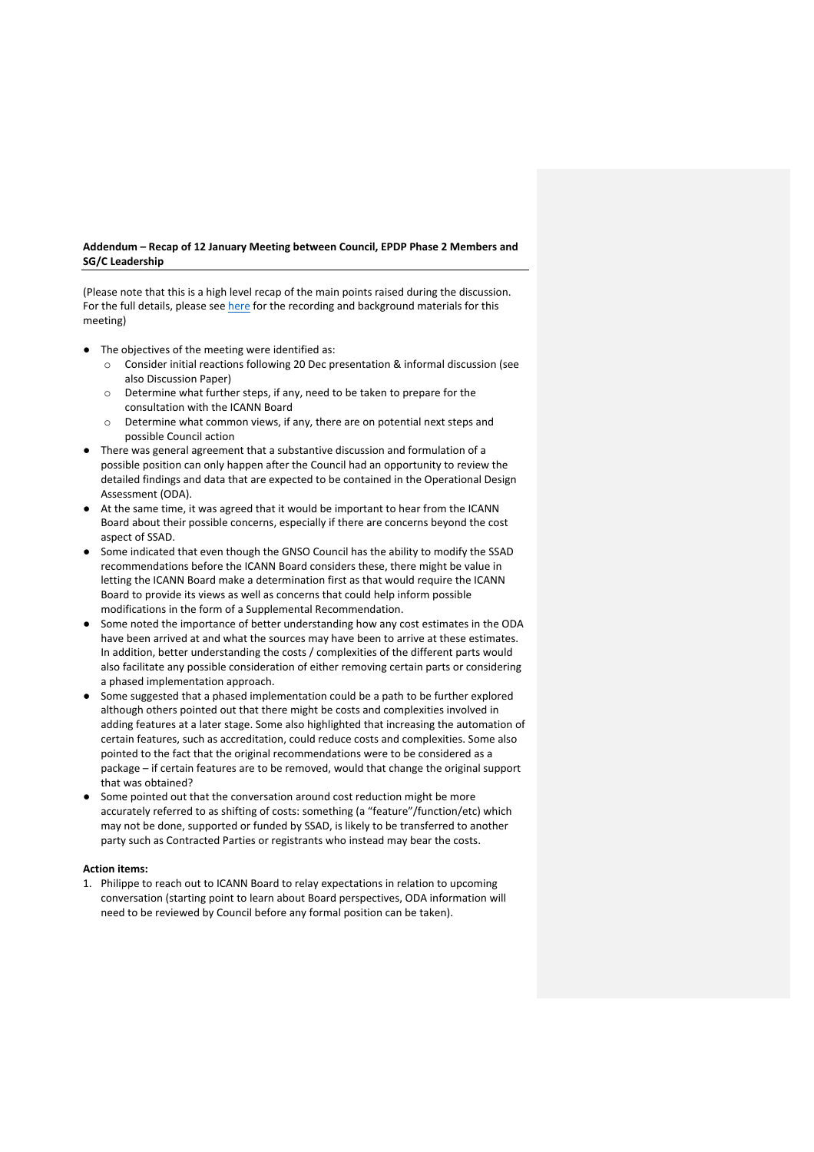# **Addendum – Recap of 12 January Meeting between Council, EPDP Phase 2 Members and SG/C Leadership**

(Please note that this is a high level recap of the main points raised during the discussion. For the full details, please see here for the recording and background materials for this meeting)

- The objectives of the meeting were identified as:
	- o Consider initial reactions following 20 Dec presentation & informal discussion (see also Discussion Paper)
	- o Determine what further steps, if any, need to be taken to prepare for the consultation with the ICANN Board
	- Determine what common views, if any, there are on potential next steps and possible Council action
- There was general agreement that a substantive discussion and formulation of a possible position can only happen after the Council had an opportunity to review the detailed findings and data that are expected to be contained in the Operational Design Assessment (ODA).
- At the same time, it was agreed that it would be important to hear from the ICANN Board about their possible concerns, especially if there are concerns beyond the cost aspect of SSAD.
- Some indicated that even though the GNSO Council has the ability to modify the SSAD recommendations before the ICANN Board considers these, there might be value in letting the ICANN Board make a determination first as that would require the ICANN Board to provide its views as well as concerns that could help inform possible modifications in the form of a Supplemental Recommendation.
- Some noted the importance of better understanding how any cost estimates in the ODA have been arrived at and what the sources may have been to arrive at these estimates. In addition, better understanding the costs / complexities of the different parts would also facilitate any possible consideration of either removing certain parts or considering a phased implementation approach.
- Some suggested that a phased implementation could be a path to be further explored although others pointed out that there might be costs and complexities involved in adding features at a later stage. Some also highlighted that increasing the automation of certain features, such as accreditation, could reduce costs and complexities. Some also pointed to the fact that the original recommendations were to be considered as a package – if certain features are to be removed, would that change the original support that was obtained?
- Some pointed out that the conversation around cost reduction might be more accurately referred to as shifting of costs: something (a "feature"/function/etc) which may not be done, supported or funded by SSAD, is likely to be transferred to another party such as Contracted Parties or registrants who instead may bear the costs.

### **Action items:**

1. Philippe to reach out to ICANN Board to relay expectations in relation to upcoming conversation (starting point to learn about Board perspectives, ODA information will need to be reviewed by Council before any formal position can be taken).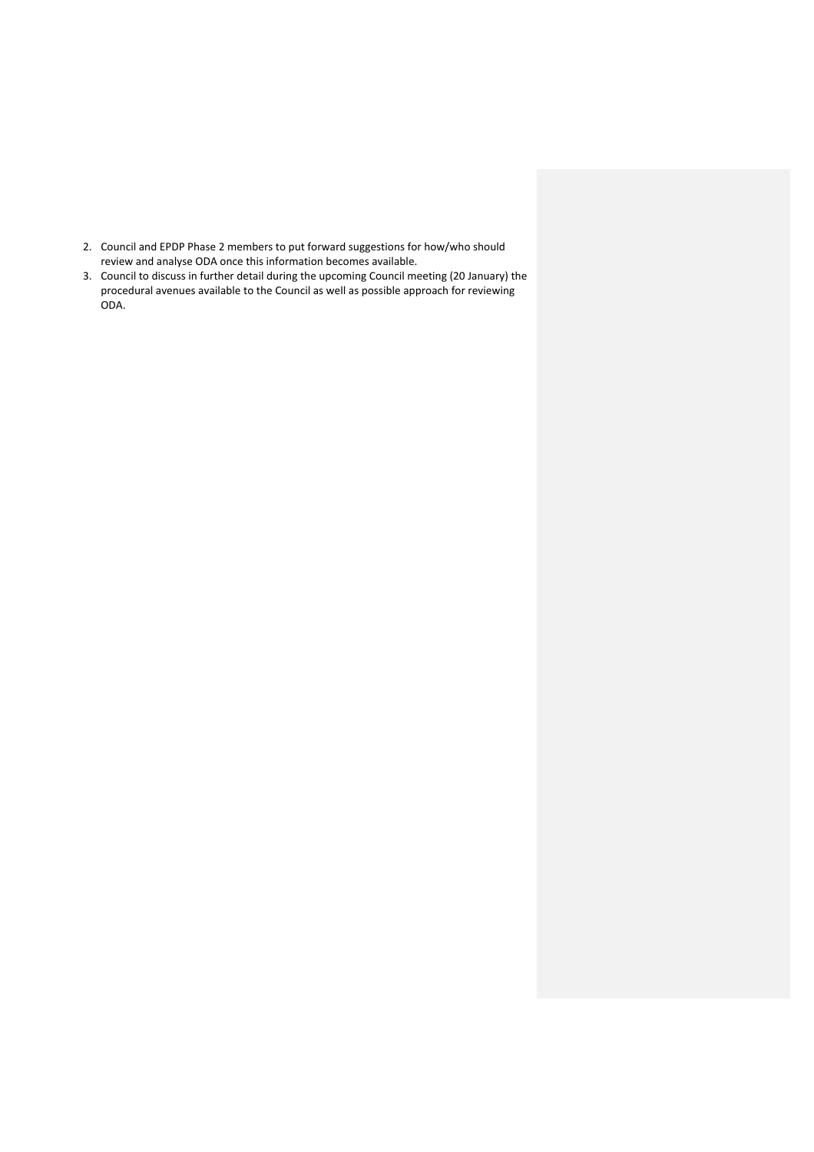- 2. Council and EPDP Phase 2 members to put forward suggestions for how/who should review and analyse ODA once this information becomes available.
- 3. Council to discuss in further detail during the upcoming Council meeting (20 January) the procedural avenues available to the Council as well as possible approach for reviewing ODA.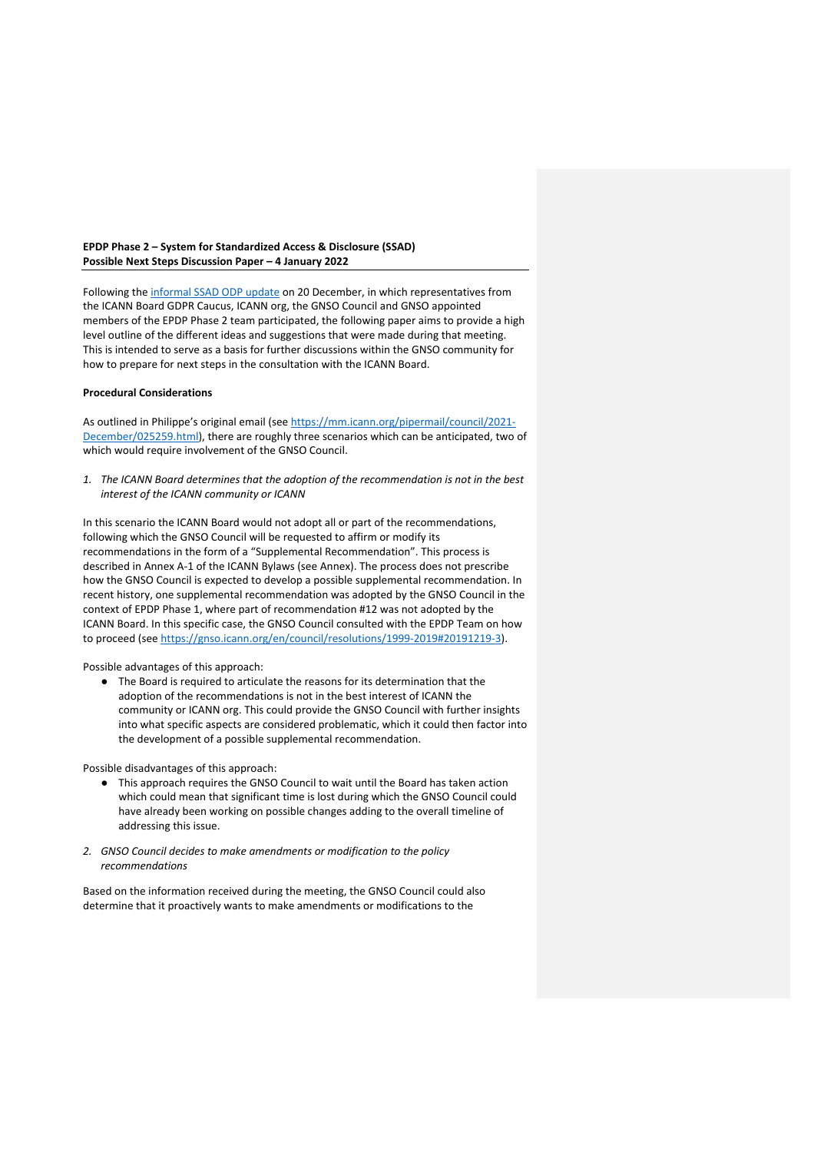## **EPDP Phase 2 – System for Standardized Access & Disclosure (SSAD) Possible Next Steps Discussion Paper – 4 January 2022**

Following the informal SSAD ODP update on 20 December, in which representatives from the ICANN Board GDPR Caucus, ICANN org, the GNSO Council and GNSO appointed members of the EPDP Phase 2 team participated, the following paper aims to provide a high level outline of the different ideas and suggestions that were made during that meeting. This is intended to serve as a basis for further discussions within the GNSO community for how to prepare for next steps in the consultation with the ICANN Board.

### **Procedural Considerations**

As outlined in Philippe's original email (see https://mm.icann.org/pipermail/council/2021-December/025259.html), there are roughly three scenarios which can be anticipated, two of which would require involvement of the GNSO Council.

*1. The ICANN Board determines that the adoption of the recommendation is not in the best interest of the ICANN community or ICANN*

In this scenario the ICANN Board would not adopt all or part of the recommendations, following which the GNSO Council will be requested to affirm or modify its recommendations in the form of a "Supplemental Recommendation". This process is described in Annex A-1 of the ICANN Bylaws (see Annex). The process does not prescribe how the GNSO Council is expected to develop a possible supplemental recommendation. In recent history, one supplemental recommendation was adopted by the GNSO Council in the context of EPDP Phase 1, where part of recommendation #12 was not adopted by the ICANN Board. In this specific case, the GNSO Council consulted with the EPDP Team on how to proceed (see https://gnso.icann.org/en/council/resolutions/1999-2019#20191219-3).

Possible advantages of this approach:

● The Board is required to articulate the reasons for its determination that the adoption of the recommendations is not in the best interest of ICANN the community or ICANN org. This could provide the GNSO Council with further insights into what specific aspects are considered problematic, which it could then factor into the development of a possible supplemental recommendation.

Possible disadvantages of this approach:

- This approach requires the GNSO Council to wait until the Board has taken action which could mean that significant time is lost during which the GNSO Council could have already been working on possible changes adding to the overall timeline of addressing this issue.
- *2. GNSO Council decides to make amendments or modification to the policy recommendations*

Based on the information received during the meeting, the GNSO Council could also determine that it proactively wants to make amendments or modifications to the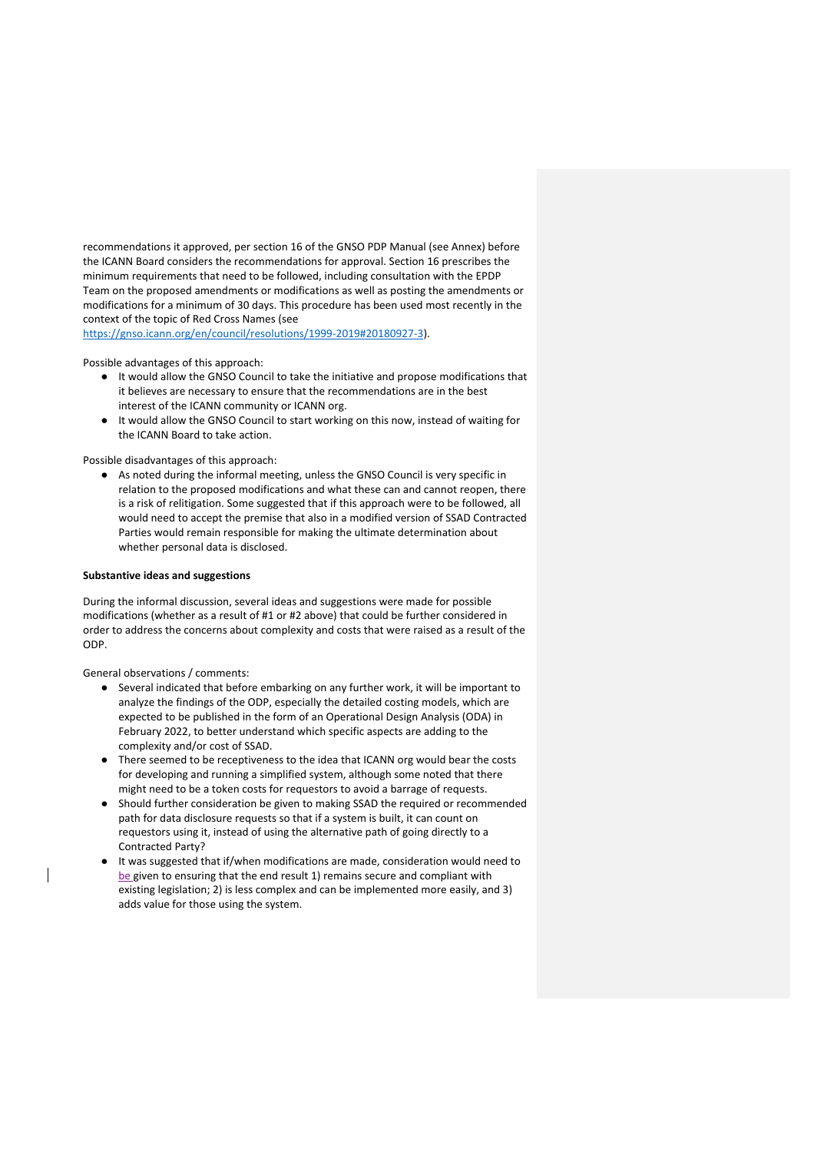recommendations it approved, per section 16 of the GNSO PDP Manual (see Annex) before the ICANN Board considers the recommendations for approval. Section 16 prescribes the minimum requirements that need to be followed, including consultation with the EPDP Team on the proposed amendments or modifications as well as posting the amendments or modifications for a minimum of 30 days. This procedure has been used most recently in the context of the topic of Red Cross Names (see

https://gnso.icann.org/en/council/resolutions/1999-2019#20180927-3).

Possible advantages of this approach:

- It would allow the GNSO Council to take the initiative and propose modifications that it believes are necessary to ensure that the recommendations are in the best interest of the ICANN community or ICANN org.
- It would allow the GNSO Council to start working on this now, instead of waiting for the ICANN Board to take action.

Possible disadvantages of this approach:

● As noted during the informal meeting, unless the GNSO Council is very specific in relation to the proposed modifications and what these can and cannot reopen, there is a risk of relitigation. Some suggested that if this approach were to be followed, all would need to accept the premise that also in a modified version of SSAD Contracted Parties would remain responsible for making the ultimate determination about whether personal data is disclosed.

#### **Substantive ideas and suggestions**

During the informal discussion, several ideas and suggestions were made for possible modifications (whether as a result of #1 or #2 above) that could be further considered in order to address the concerns about complexity and costs that were raised as a result of the ODP.

General observations / comments:

- Several indicated that before embarking on any further work, it will be important to analyze the findings of the ODP, especially the detailed costing models, which are expected to be published in the form of an Operational Design Analysis (ODA) in February 2022, to better understand which specific aspects are adding to the complexity and/or cost of SSAD.
- There seemed to be receptiveness to the idea that ICANN org would bear the costs for developing and running a simplified system, although some noted that there might need to be a token costs for requestors to avoid a barrage of requests.
- Should further consideration be given to making SSAD the required or recommended path for data disclosure requests so that if a system is built, it can count on requestors using it, instead of using the alternative path of going directly to a Contracted Party?
- It was suggested that if/when modifications are made, consideration would need to be given to ensuring that the end result 1) remains secure and compliant with existing legislation; 2) is less complex and can be implemented more easily, and 3) adds value for those using the system.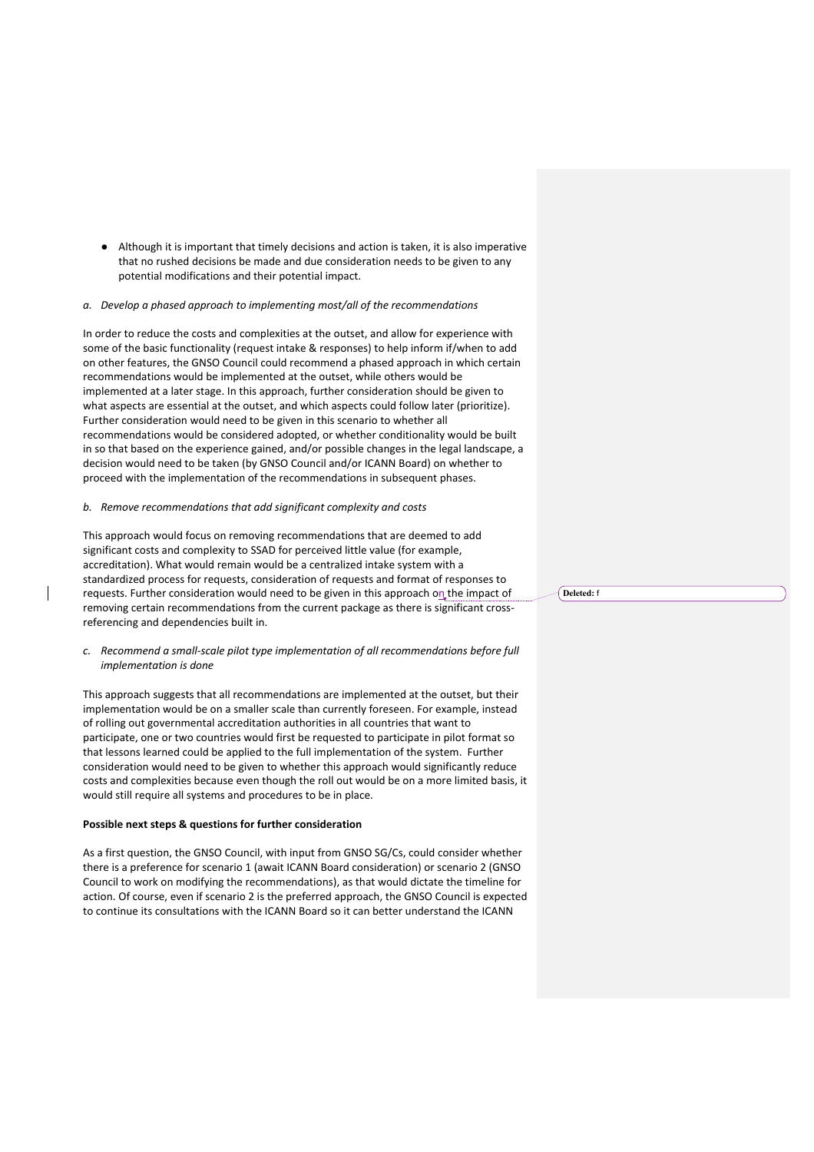● Although it is important that timely decisions and action is taken, it is also imperative that no rushed decisions be made and due consideration needs to be given to any potential modifications and their potential impact.

#### *a. Develop a phased approach to implementing most/all of the recommendations*

In order to reduce the costs and complexities at the outset, and allow for experience with some of the basic functionality (request intake & responses) to help inform if/when to add on other features, the GNSO Council could recommend a phased approach in which certain recommendations would be implemented at the outset, while others would be implemented at a later stage. In this approach, further consideration should be given to what aspects are essential at the outset, and which aspects could follow later (prioritize). Further consideration would need to be given in this scenario to whether all recommendations would be considered adopted, or whether conditionality would be built in so that based on the experience gained, and/or possible changes in the legal landscape, a decision would need to be taken (by GNSO Council and/or ICANN Board) on whether to proceed with the implementation of the recommendations in subsequent phases.

### *b. Remove recommendations that add significant complexity and costs*

This approach would focus on removing recommendations that are deemed to add significant costs and complexity to SSAD for perceived little value (for example, accreditation). What would remain would be a centralized intake system with a standardized process for requests, consideration of requests and format of responses to requests. Further consideration would need to be given in this approach on the impact of removing certain recommendations from the current package as there is significant crossreferencing and dependencies built in.

*c. Recommend a small-scale pilot type implementation of all recommendations before full implementation is done*

This approach suggests that all recommendations are implemented at the outset, but their implementation would be on a smaller scale than currently foreseen. For example, instead of rolling out governmental accreditation authorities in all countries that want to participate, one or two countries would first be requested to participate in pilot format so that lessons learned could be applied to the full implementation of the system. Further consideration would need to be given to whether this approach would significantly reduce costs and complexities because even though the roll out would be on a more limited basis, it would still require all systems and procedures to be in place.

### **Possible next steps & questions for further consideration**

As a first question, the GNSO Council, with input from GNSO SG/Cs, could consider whether there is a preference for scenario 1 (await ICANN Board consideration) or scenario 2 (GNSO Council to work on modifying the recommendations), as that would dictate the timeline for action. Of course, even if scenario 2 is the preferred approach, the GNSO Council is expected to continue its consultations with the ICANN Board so it can better understand the ICANN

**Deleted:** f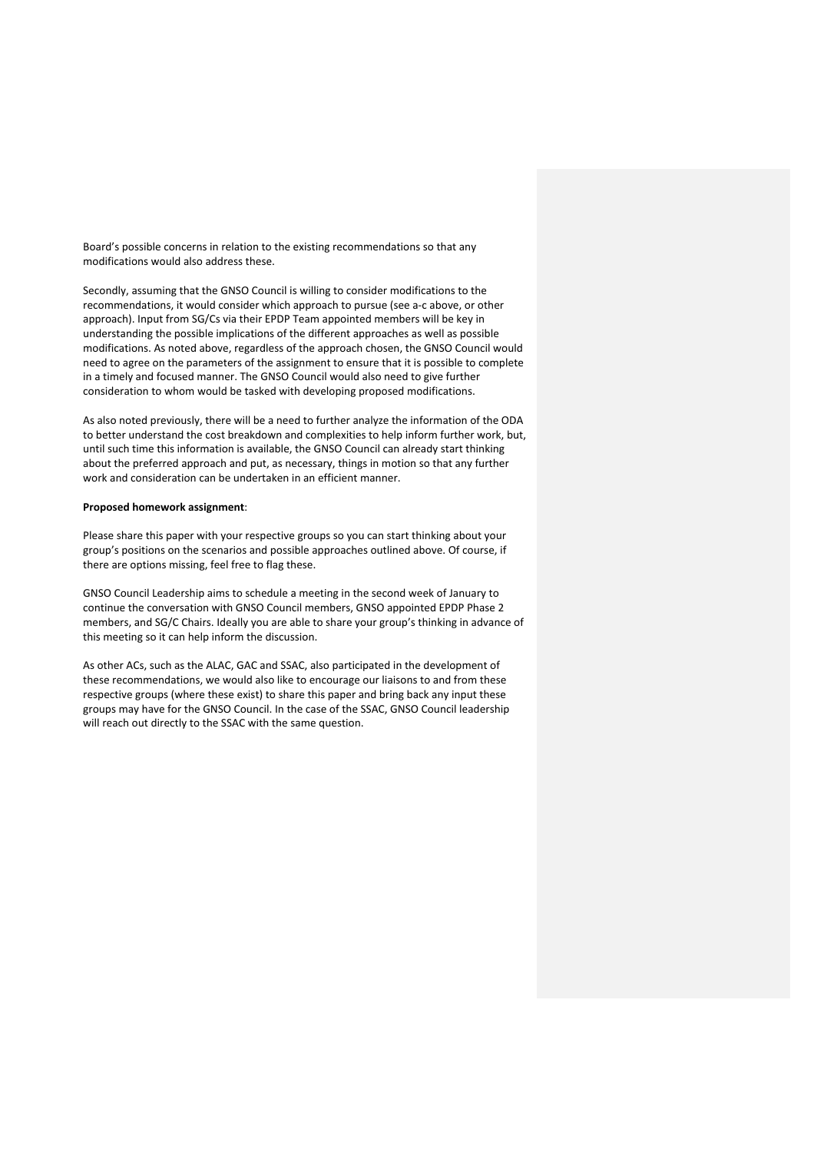Board's possible concerns in relation to the existing recommendations so that any modifications would also address these.

Secondly, assuming that the GNSO Council is willing to consider modifications to the recommendations, it would consider which approach to pursue (see a-c above, or other approach). Input from SG/Cs via their EPDP Team appointed members will be key in understanding the possible implications of the different approaches as well as possible modifications. As noted above, regardless of the approach chosen, the GNSO Council would need to agree on the parameters of the assignment to ensure that it is possible to complete in a timely and focused manner. The GNSO Council would also need to give further consideration to whom would be tasked with developing proposed modifications.

As also noted previously, there will be a need to further analyze the information of the ODA to better understand the cost breakdown and complexities to help inform further work, but, until such time this information is available, the GNSO Council can already start thinking about the preferred approach and put, as necessary, things in motion so that any further work and consideration can be undertaken in an efficient manner.

#### **Proposed homework assignment**:

Please share this paper with your respective groups so you can start thinking about your group's positions on the scenarios and possible approaches outlined above. Of course, if there are options missing, feel free to flag these.

GNSO Council Leadership aims to schedule a meeting in the second week of January to continue the conversation with GNSO Council members, GNSO appointed EPDP Phase 2 members, and SG/C Chairs. Ideally you are able to share your group's thinking in advance of this meeting so it can help inform the discussion.

As other ACs, such as the ALAC, GAC and SSAC, also participated in the development of these recommendations, we would also like to encourage our liaisons to and from these respective groups (where these exist) to share this paper and bring back any input these groups may have for the GNSO Council. In the case of the SSAC, GNSO Council leadership will reach out directly to the SSAC with the same question.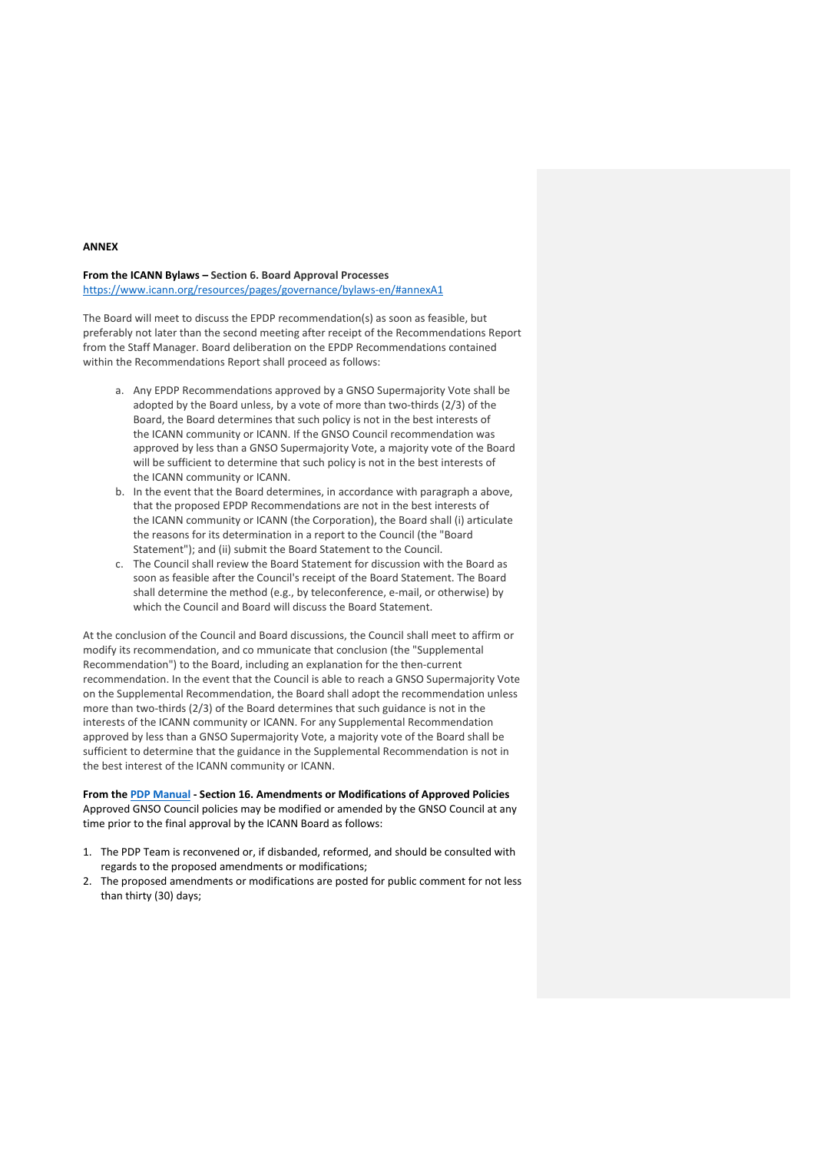### **ANNEX**

## **From the ICANN Bylaws – Section 6. Board Approval Processes** https://www.icann.org/resources/pages/governance/bylaws-en/#annexA1

The Board will meet to discuss the EPDP recommendation(s) as soon as feasible, but preferably not later than the second meeting after receipt of the Recommendations Report from the Staff Manager. Board deliberation on the EPDP Recommendations contained within the Recommendations Report shall proceed as follows:

- a. Any EPDP Recommendations approved by a GNSO Supermajority Vote shall be adopted by the Board unless, by a vote of more than two-thirds (2/3) of the Board, the Board determines that such policy is not in the best interests of the ICANN community or ICANN. If the GNSO Council recommendation was approved by less than a GNSO Supermajority Vote, a majority vote of the Board will be sufficient to determine that such policy is not in the best interests of the ICANN community or ICANN.
- b. In the event that the Board determines, in accordance with paragraph a above, that the proposed EPDP Recommendations are not in the best interests of the ICANN community or ICANN (the Corporation), the Board shall (i) articulate the reasons for its determination in a report to the Council (the "Board Statement"); and (ii) submit the Board Statement to the Council.
- c. The Council shall review the Board Statement for discussion with the Board as soon as feasible after the Council's receipt of the Board Statement. The Board shall determine the method (e.g., by teleconference, e-mail, or otherwise) by which the Council and Board will discuss the Board Statement.

At the conclusion of the Council and Board discussions, the Council shall meet to affirm or modify its recommendation, and co mmunicate that conclusion (the "Supplemental Recommendation") to the Board, including an explanation for the then-current recommendation. In the event that the Council is able to reach a GNSO Supermajority Vote on the Supplemental Recommendation, the Board shall adopt the recommendation unless more than two-thirds (2/3) of the Board determines that such guidance is not in the interests of the ICANN community or ICANN. For any Supplemental Recommendation approved by less than a GNSO Supermajority Vote, a majority vote of the Board shall be sufficient to determine that the guidance in the Supplemental Recommendation is not in the best interest of the ICANN community or ICANN.

# **From the PDP Manual - Section 16. Amendments or Modifications of Approved Policies**  Approved GNSO Council policies may be modified or amended by the GNSO Council at any time prior to the final approval by the ICANN Board as follows:

- 1. The PDP Team is reconvened or, if disbanded, reformed, and should be consulted with regards to the proposed amendments or modifications;
- 2. The proposed amendments or modifications are posted for public comment for not less than thirty (30) days;